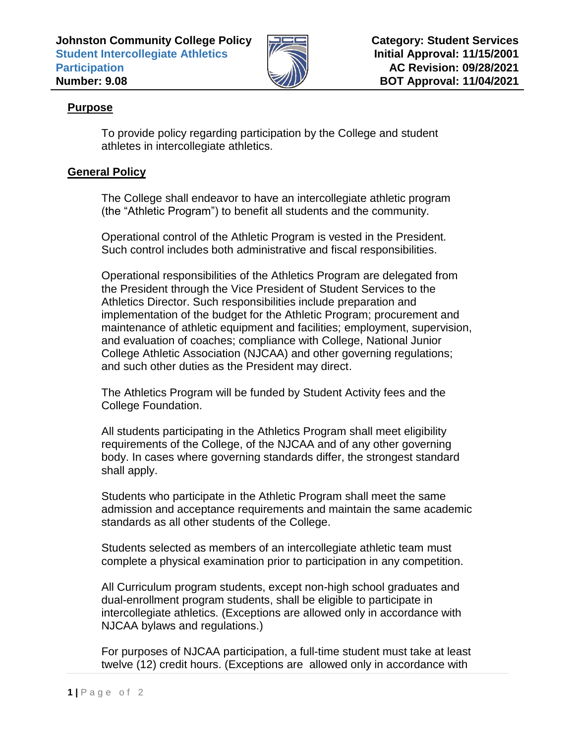

## **Purpose**

To provide policy regarding participation by the College and student athletes in intercollegiate athletics.

## **General Policy**

The College shall endeavor to have an intercollegiate athletic program (the "Athletic Program") to benefit all students and the community.

Operational control of the Athletic Program is vested in the President. Such control includes both administrative and fiscal responsibilities.

Operational responsibilities of the Athletics Program are delegated from the President through the Vice President of Student Services to the Athletics Director. Such responsibilities include preparation and implementation of the budget for the Athletic Program; procurement and maintenance of athletic equipment and facilities; employment, supervision, and evaluation of coaches; compliance with College, National Junior College Athletic Association (NJCAA) and other governing regulations; and such other duties as the President may direct.

The Athletics Program will be funded by Student Activity fees and the College Foundation.

All students participating in the Athletics Program shall meet eligibility requirements of the College, of the NJCAA and of any other governing body. In cases where governing standards differ, the strongest standard shall apply.

Students who participate in the Athletic Program shall meet the same admission and acceptance requirements and maintain the same academic standards as all other students of the College.

Students selected as members of an intercollegiate athletic team must complete a physical examination prior to participation in any competition.

All Curriculum program students, except non-high school graduates and dual-enrollment program students, shall be eligible to participate in intercollegiate athletics. (Exceptions are allowed only in accordance with NJCAA bylaws and regulations.)

For purposes of NJCAA participation, a full-time student must take at least twelve (12) credit hours. (Exceptions are allowed only in accordance with